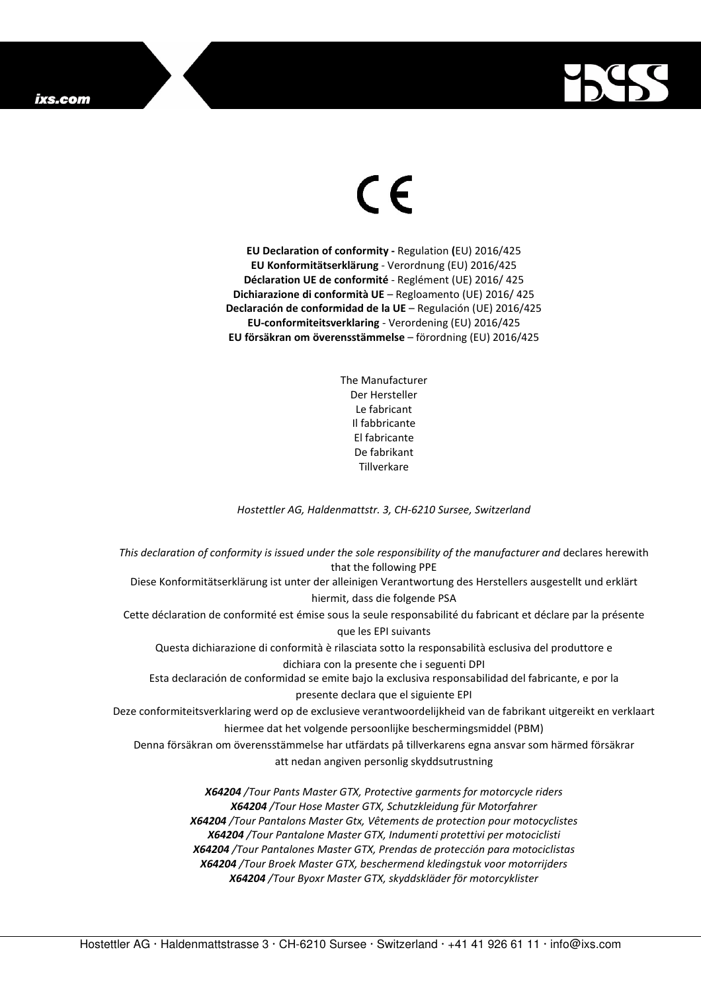## ixs.com



## $\in$

**EU Declaration of conformity -** Regulation **(**EU) 2016/425 **EU Konformitätserklärung** - Verordnung (EU) 2016/425 **Déclaration UE de conformité** - Reglément (UE) 2016/ 425 **Dichiarazione di conformità UE** – Regloamento (UE) 2016/ 425 **Declaración de conformidad de la UE** – Regulación (UE) 2016/425 **EU-conformiteitsverklaring** - Verordening (EU) 2016/425 **EU försäkran om överensstämmelse** – förordning (EU) 2016/425

> The Manufacturer Der Hersteller Le fabricant Il fabbricante El fabricante De fabrikant **Tillverkare**

*Hostettler AG, Haldenmattstr. 3, CH-6210 Sursee, Switzerland* 

*This declaration of conformity is issued under the sole responsibility of the manufacturer and* declares herewith that the following PPE Diese Konformitätserklärung ist unter der alleinigen Verantwortung des Herstellers ausgestellt und erklärt hiermit, dass die folgende PSA Cette déclaration de conformité est émise sous la seule responsabilité du fabricant et déclare par la présente que les EPI suivants Questa dichiarazione di conformità è rilasciata sotto la responsabilità esclusiva del produttore e dichiara con la presente che i seguenti DPI Esta declaración de conformidad se emite bajo la exclusiva responsabilidad del fabricante, e por la presente declara que el siguiente EPI Deze conformiteitsverklaring werd op de exclusieve verantwoordelijkheid van de fabrikant uitgereikt en verklaart hiermee dat het volgende persoonlijke beschermingsmiddel (PBM) Denna försäkran om överensstämmelse har utfärdats på tillverkarens egna ansvar som härmed försäkrar att nedan angiven personlig skyddsutrustning *X64204 /Tour Pants Master GTX, Protective garments for motorcycle riders X64204 /Tour Hose Master GTX, Schutzkleidung für Motorfahrer X64204 /Tour Pantalons Master Gtx, Vêtements de protection pour motocyclistes* 

*X64204 /Tour Pantalone Master GTX, Indumenti protettivi per motociclisti X64204 /Tour Pantalones Master GTX, Prendas de protección para motociclistas X64204 /Tour Broek Master GTX, beschermend kledingstuk voor motorrijders X64204 /Tour Byoxr Master GTX, skyddskläder för motorcyklister*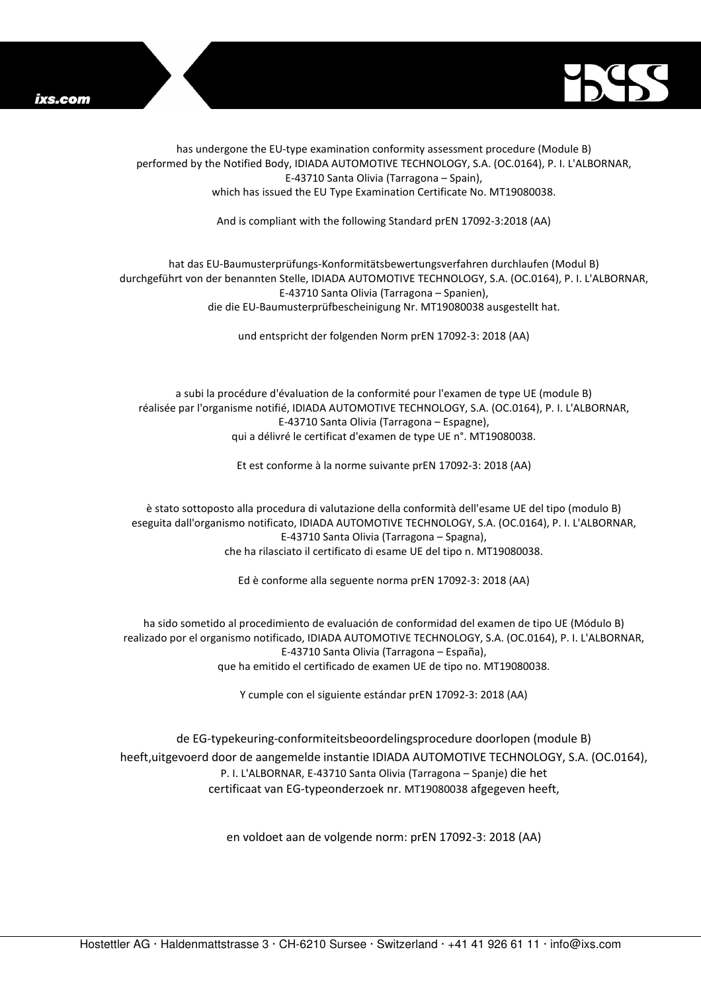



has undergone the EU-type examination conformity assessment procedure (Module B) performed by the Notified Body, IDIADA AUTOMOTIVE TECHNOLOGY, S.A. (OC.0164), P. I. L'ALBORNAR, E-43710 Santa Olivia (Tarragona – Spain), which has issued the EU Type Examination Certificate No. MT19080038.

And is compliant with the following Standard prEN 17092-3:2018 (AA)

## hat das EU-Baumusterprüfungs-Konformitätsbewertungsverfahren durchlaufen (Modul B) durchgeführt von der benannten Stelle, IDIADA AUTOMOTIVE TECHNOLOGY, S.A. (OC.0164), P. I. L'ALBORNAR, E-43710 Santa Olivia (Tarragona – Spanien), die die EU-Baumusterprüfbescheinigung Nr. MT19080038 ausgestellt hat.

und entspricht der folgenden Norm prEN 17092-3: 2018 (AA)

a subi la procédure d'évaluation de la conformité pour l'examen de type UE (module B) réalisée par l'organisme notifié, IDIADA AUTOMOTIVE TECHNOLOGY, S.A. (OC.0164), P. I. L'ALBORNAR, E-43710 Santa Olivia (Tarragona – Espagne), qui a délivré le certificat d'examen de type UE n°. MT19080038.

Et est conforme à la norme suivante prEN 17092-3: 2018 (AA)

è stato sottoposto alla procedura di valutazione della conformità dell'esame UE del tipo (modulo B) eseguita dall'organismo notificato, IDIADA AUTOMOTIVE TECHNOLOGY, S.A. (OC.0164), P. I. L'ALBORNAR, E-43710 Santa Olivia (Tarragona – Spagna), che ha rilasciato il certificato di esame UE del tipo n. MT19080038.

Ed è conforme alla seguente norma prEN 17092-3: 2018 (AA)

ha sido sometido al procedimiento de evaluación de conformidad del examen de tipo UE (Módulo B) realizado por el organismo notificado, IDIADA AUTOMOTIVE TECHNOLOGY, S.A. (OC.0164), P. I. L'ALBORNAR, E-43710 Santa Olivia (Tarragona – España), que ha emitido el certificado de examen UE de tipo no. MT19080038.

Y cumple con el siguiente estándar prEN 17092-3: 2018 (AA)

de EG-typekeuring-conformiteitsbeoordelingsprocedure doorlopen (module B) heeft,uitgevoerd door de aangemelde instantie IDIADA AUTOMOTIVE TECHNOLOGY, S.A. (OC.0164), P. I. L'ALBORNAR, E-43710 Santa Olivia (Tarragona – Spanje) die het certificaat van EG-typeonderzoek nr. MT19080038 afgegeven heeft,

en voldoet aan de volgende norm: prEN 17092-3: 2018 (AA)